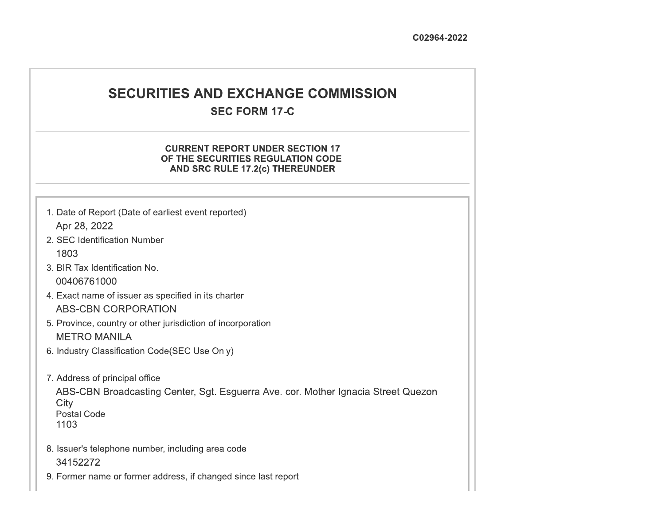# **SECURITIES AND EXCHANGE COMMISSION**

# **SEC FORM 17-C**

### **CURRENT REPORT UNDER SECTION 17** OF THE SECURITIES REGULATION CODE AND SRC RULE 17.2(c) THEREUNDER

- 1. Date of Report (Date of earliest event reported) Apr 28, 2022
- 2. SEC Identification Number 1803
- 3. BIR Tax Identification No. 00406761000
- 4. Exact name of issuer as specified in its charter **ABS-CBN CORPORATION**
- 5. Province, country or other jurisdiction of incorporation **METRO MANILA**
- 6. Industry Classification Code(SEC Use Only)
- 7. Address of principal office

ABS-CBN Broadcasting Center, Sgt. Esguerra Ave. cor. Mother Ignacia Street Quezon City **Postal Code** 1103

- 8. Issuer's telephone number, including area code 34152272
- 9. Former name or former address, if changed since last report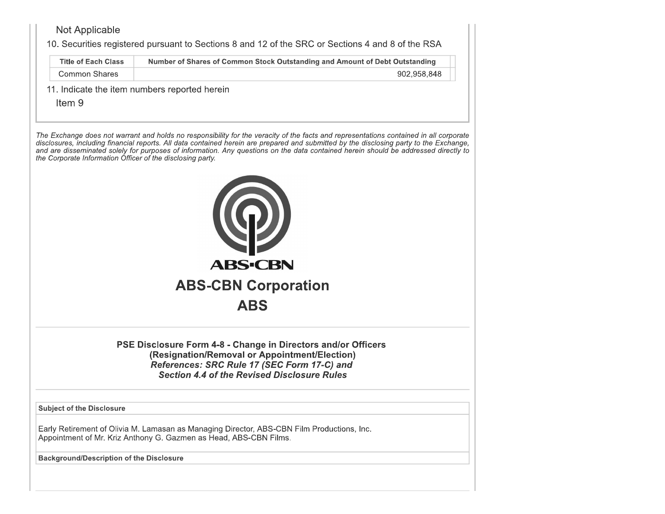## Not Applicable

10. Securities registered pursuant to Sections 8 and 12 of the SRC or Sections 4 and 8 of the RSA

| Title of Each Class | Number of Shares of Common Stock Outstanding and Amount of Debt Outstanding |
|---------------------|-----------------------------------------------------------------------------|
| Common Shares       | 902,958,848                                                                 |

11. Indicate the item numbers reported herein

Item<sub>9</sub>

The Exchange does not warrant and holds no responsibility for the veracity of the facts and representations contained in all corporate disclosures, including financial reports. All data contained herein are prepared and submitted by the disclosing party to the Exchange, and are disseminated solely for purposes of information. Any questions on the data contained herein should be addressed directly to the Corporate Information Officer of the disclosing party.



PSE Disclosure Form 4-8 - Change in Directors and/or Officers (Resignation/Removal or Appointment/Election) References: SRC Rule 17 (SEC Form 17-C) and **Section 4.4 of the Revised Disclosure Rules** 

**Subject of the Disclosure** 

Early Retirement of Olivia M. Lamasan as Managing Director, ABS-CBN Film Productions, Inc. Appointment of Mr. Kriz Anthony G. Gazmen as Head, ABS-CBN Films.

**Background/Description of the Disclosure**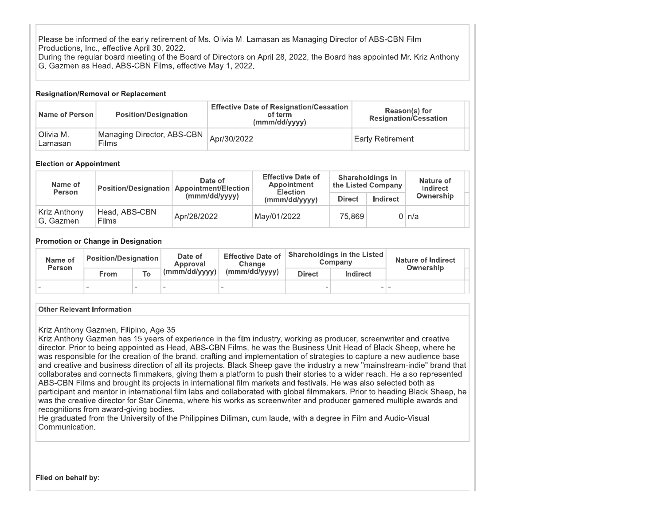Please be informed of the early retirement of Ms. Olivia M. Lamasan as Managing Director of ABS-CBN Film Productions, Inc., effective April 30, 2022. During the regular board meeting of the Board of Directors on April 28, 2022, the Board has appointed Mr. Kriz Anthony

G. Gazmen as Head, ABS-CBN Films, effective May 1, 2022.

#### **Resignation/Removal or Replacement**

| Name of Person       | <b>Position/Designation</b>           | <b>Effective Date of Resignation/Cessation</b><br>of term<br>(mmm/dd/yyyy) | Reason(s) for<br><b>Resignation/Cessation</b> |  |  |  |  |
|----------------------|---------------------------------------|----------------------------------------------------------------------------|-----------------------------------------------|--|--|--|--|
| Olivia M.<br>Lamasan | Managing Director, ABS-CBN  <br>Films | Apr/30/2022                                                                | <b>Early Retirement</b>                       |  |  |  |  |

#### **Election or Appointment**

|  | Name of<br><b>Person</b>  |                               | Date of<br>Position/Designation   Appointment/Election | <b>Effective Date of</b><br>Appointment<br><b>Election</b> |               | Shareholdings in<br>$_4$ the Listed Company $^{\prime}$ | Nature of<br>Indirect |  |
|--|---------------------------|-------------------------------|--------------------------------------------------------|------------------------------------------------------------|---------------|---------------------------------------------------------|-----------------------|--|
|  |                           |                               | (mmm/dd/yyyy)                                          | (mmm/dd/yyyy)                                              | <b>Direct</b> | Indirect                                                | Ownership             |  |
|  | Kriz Anthony<br>G. Gazmen | Head, ABS-CBN<br><b>Films</b> | Apr/28/2022                                            | May/01/2022                                                | 75.869        |                                                         | 0 ln/a                |  |

#### **Promotion or Change in Designation**

| Name of<br><b>Person</b> | <b>Position/Designation</b> |    | Date of<br>Approval         | <b>Effective Date of</b><br>Change |                                  | Shareholdings in the Listed<br>Company | Nature of Indirect<br>Ownership |  |
|--------------------------|-----------------------------|----|-----------------------------|------------------------------------|----------------------------------|----------------------------------------|---------------------------------|--|
|                          | From                        | To | $_1$ (mmm/dd/yyyy) $\vdash$ | (mmm/dd/yyyy)                      | <b>Direct</b><br><b>Indirect</b> |                                        |                                 |  |
|                          |                             | -  | $\sim$                      | $\overline{\phantom{0}}$           | -                                | -                                      |                                 |  |

#### **Other Relevant Information**

#### Kriz Anthony Gazmen, Filipino, Age 35

Kriz Anthony Gazmen has 15 years of experience in the film industry, working as producer, screenwriter and creative director. Prior to being appointed as Head, ABS-CBN Films, he was the Business Unit Head of Black Sheep, where he was responsible for the creation of the brand, crafting and implementation of strategies to capture a new audience base and creative and business direction of all its projects. Black Sheep gave the industry a new "mainstream-indie" brand that collaborates and connects filmmakers, giving them a platform to push their stories to a wider reach. He also represented ABS-CBN Films and brought its projects in international film markets and festivals. He was also selected both as participant and mentor in international film labs and collaborated with global filmmakers. Prior to heading Black Sheep, he was the creative director for Star Cinema, where his works as screenwriter and producer garnered multiple awards and recognitions from award-giving bodies.

He graduated from the University of the Philippines Diliman, cum laude, with a degree in Film and Audio-Visual Communication.

Filed on behalf by: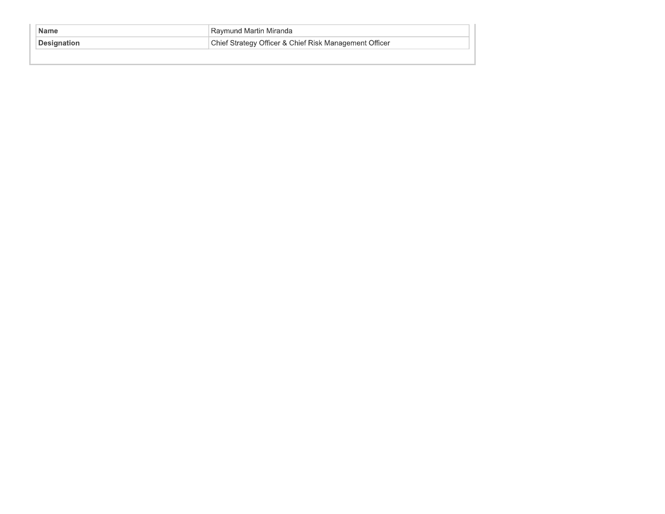| <b>Name</b>         | Raymund Martin Miranda                                 |
|---------------------|--------------------------------------------------------|
| <b>∣Designation</b> | Chief Strategy Officer & Chief Risk Management Officer |
|                     |                                                        |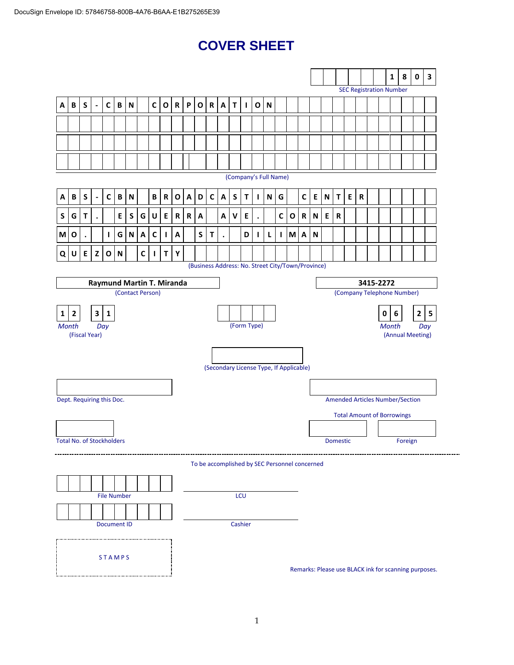# **COVER SHEET**

|                                  |                |             |                          |                    |                           |                           |             |              |              |              |                    |              |              |                           |             |              |              |                                                   |              |   |              |   |                           |                 |   |           |           |   | $\mathbf{1}$                   | 8                                      | $\pmb{0}$                                            | $\overline{\mathbf{3}}$ |
|----------------------------------|----------------|-------------|--------------------------|--------------------|---------------------------|---------------------------|-------------|--------------|--------------|--------------|--------------------|--------------|--------------|---------------------------|-------------|--------------|--------------|---------------------------------------------------|--------------|---|--------------|---|---------------------------|-----------------|---|-----------|-----------|---|--------------------------------|----------------------------------------|------------------------------------------------------|-------------------------|
|                                  |                |             |                          |                    |                           |                           |             |              |              |              |                    |              |              |                           |             |              |              |                                                   |              |   |              |   |                           |                 |   |           |           |   | <b>SEC Registration Number</b> |                                        |                                                      |                         |
| А                                | B              | S           | $\overline{\phantom{a}}$ | $\mathsf{C}$       | B                         | ${\sf N}$                 |             | $\mathsf{C}$ | $\mathbf 0$  | $\mathbf R$  | P                  | $\mathbf{o}$ | $\mathbf R$  | $\boldsymbol{\mathsf{A}}$ | $\mathbf T$ | $\mathbf{I}$ | $\mathbf{o}$ | N                                                 |              |   |              |   |                           |                 |   |           |           |   |                                |                                        |                                                      |                         |
|                                  |                |             |                          |                    |                           |                           |             |              |              |              |                    |              |              |                           |             |              |              |                                                   |              |   |              |   |                           |                 |   |           |           |   |                                |                                        |                                                      |                         |
|                                  |                |             |                          |                    |                           |                           |             |              |              |              |                    |              |              |                           |             |              |              |                                                   |              |   |              |   |                           |                 |   |           |           |   |                                |                                        |                                                      |                         |
|                                  |                |             |                          |                    |                           |                           |             |              |              |              |                    |              |              |                           |             |              |              |                                                   |              |   |              |   |                           |                 |   |           |           |   |                                |                                        |                                                      |                         |
| (Company's Full Name)            |                |             |                          |                    |                           |                           |             |              |              |              |                    |              |              |                           |             |              |              |                                                   |              |   |              |   |                           |                 |   |           |           |   |                                |                                        |                                                      |                         |
| А                                | B              | $\mathsf S$ | $\blacksquare$           | $\mathsf{C}$       | $\, {\bf B} \,$           | $\mathsf N$               |             | B            | ${\bf R}$    | $\mathbf{o}$ | $\pmb{\mathsf{A}}$ | D            | $\mathsf{C}$ | $\mathbf{A}$              | $\mathsf S$ | $\mathsf T$  | J.           | N                                                 | G            |   | $\mathsf{C}$ | E | $\boldsymbol{\mathsf{N}}$ | T               | E | ${\bf R}$ |           |   |                                |                                        |                                                      |                         |
| S                                | G              | Τ           | $\bullet$                |                    | E                         | S                         | G           | U            | Е            | R            | $\mathbf R$        | A            |              | Α                         | v           | Е            |              |                                                   | C            | O | $\mathbf R$  | N | E                         | ${\bf R}$       |   |           |           |   |                                |                                        |                                                      |                         |
| M                                | O              | $\bullet$   |                          | Т.                 | G                         | N                         | A           | C            | $\mathbf{I}$ | A            |                    | S            | T            | $\bullet$                 |             | D            | $\mathbf{I}$ | L                                                 | $\mathbf{I}$ | M | A            | N |                           |                 |   |           |           |   |                                |                                        |                                                      |                         |
| Q                                | U              | E           | Z                        | $\mathbf 0$        | $\boldsymbol{\mathsf{N}}$ |                           | $\mathbf c$ | $\mathbf{I}$ | $\mathbf T$  | Υ            |                    |              |              |                           |             |              |              |                                                   |              |   |              |   |                           |                 |   |           |           |   |                                |                                        |                                                      |                         |
|                                  |                |             |                          |                    |                           |                           |             |              |              |              |                    |              |              |                           |             |              |              | (Business Address: No. Street City/Town/Province) |              |   |              |   |                           |                 |   |           |           |   |                                |                                        |                                                      |                         |
|                                  |                |             |                          |                    |                           | Raymund Martin T. Miranda |             |              |              |              |                    |              |              |                           |             |              |              |                                                   |              |   |              |   |                           |                 |   |           | 3415-2272 |   |                                |                                        |                                                      |                         |
|                                  |                |             |                          |                    |                           | (Contact Person)          |             |              |              |              |                    |              |              |                           |             |              |              |                                                   |              |   |              |   |                           |                 |   |           |           |   |                                | (Company Telephone Number)             |                                                      |                         |
| 1                                | $\overline{2}$ |             | $\mathbf{3}$             | $\mathbf{1}$       |                           |                           |             |              |              |              |                    |              |              |                           |             |              |              |                                                   |              |   |              |   |                           |                 |   |           |           | 0 | $6\phantom{a}$                 |                                        | $\mathbf{2}$                                         | $\overline{\mathbf{5}}$ |
| <b>Month</b>                     | (Fiscal Year)  |             |                          | Day                |                           |                           |             |              |              |              |                    |              |              |                           |             | (Form Type)  |              |                                                   |              |   |              |   |                           |                 |   |           |           |   | <b>Month</b>                   |                                        | (Annual Meeting)                                     | Day                     |
|                                  |                |             |                          |                    |                           |                           |             |              |              |              |                    |              |              |                           |             |              |              |                                                   |              |   |              |   |                           |                 |   |           |           |   |                                |                                        |                                                      |                         |
|                                  |                |             |                          |                    |                           |                           |             |              |              |              |                    |              |              |                           |             |              |              | (Secondary License Type, If Applicable)           |              |   |              |   |                           |                 |   |           |           |   |                                |                                        |                                                      |                         |
|                                  |                |             |                          |                    |                           |                           |             |              |              |              |                    |              |              |                           |             |              |              |                                                   |              |   |              |   |                           |                 |   |           |           |   |                                |                                        |                                                      |                         |
| Dept. Requiring this Doc.        |                |             |                          |                    |                           |                           |             |              |              |              |                    |              |              |                           |             |              |              |                                                   |              |   |              |   |                           |                 |   |           |           |   |                                | <b>Amended Articles Number/Section</b> |                                                      |                         |
|                                  |                |             |                          |                    |                           |                           |             |              |              |              |                    |              |              |                           |             |              |              |                                                   |              |   |              |   |                           |                 |   |           |           |   |                                | <b>Total Amount of Borrowings</b>      |                                                      |                         |
|                                  |                |             |                          |                    |                           |                           |             |              |              |              |                    |              |              |                           |             |              |              |                                                   |              |   |              |   |                           |                 |   |           |           |   |                                |                                        |                                                      |                         |
| <b>Total No. of Stockholders</b> |                |             |                          |                    |                           |                           |             |              |              |              |                    |              |              |                           |             |              |              |                                                   |              |   |              |   |                           | <b>Domestic</b> |   |           |           |   |                                | Foreign                                |                                                      |                         |
|                                  |                |             |                          |                    |                           |                           |             |              |              |              |                    |              |              |                           |             |              |              | To be accomplished by SEC Personnel concerned     |              |   |              |   |                           |                 |   |           |           |   |                                |                                        |                                                      |                         |
|                                  |                |             |                          |                    |                           |                           |             |              |              |              |                    |              |              |                           |             |              |              |                                                   |              |   |              |   |                           |                 |   |           |           |   |                                |                                        |                                                      |                         |
|                                  |                |             |                          | <b>File Number</b> |                           |                           |             |              |              |              |                    |              |              |                           |             | LCU          |              |                                                   |              |   |              |   |                           |                 |   |           |           |   |                                |                                        |                                                      |                         |
|                                  |                |             |                          |                    |                           |                           |             |              |              |              |                    |              |              |                           |             |              |              |                                                   |              |   |              |   |                           |                 |   |           |           |   |                                |                                        |                                                      |                         |
|                                  |                |             |                          | <b>Document ID</b> |                           |                           |             |              |              |              |                    |              |              |                           |             | Cashier      |              |                                                   |              |   |              |   |                           |                 |   |           |           |   |                                |                                        |                                                      |                         |
|                                  |                |             |                          |                    |                           |                           |             |              |              |              |                    |              |              |                           |             |              |              |                                                   |              |   |              |   |                           |                 |   |           |           |   |                                |                                        |                                                      |                         |
|                                  |                |             |                          | <b>STAMPS</b>      |                           |                           |             |              |              |              |                    |              |              |                           |             |              |              |                                                   |              |   |              |   |                           |                 |   |           |           |   |                                |                                        | Remarks: Please use BLACK ink for scanning purposes. |                         |
|                                  |                |             |                          |                    |                           |                           |             |              |              |              |                    |              |              |                           |             |              |              |                                                   |              |   |              |   |                           |                 |   |           |           |   |                                |                                        |                                                      |                         |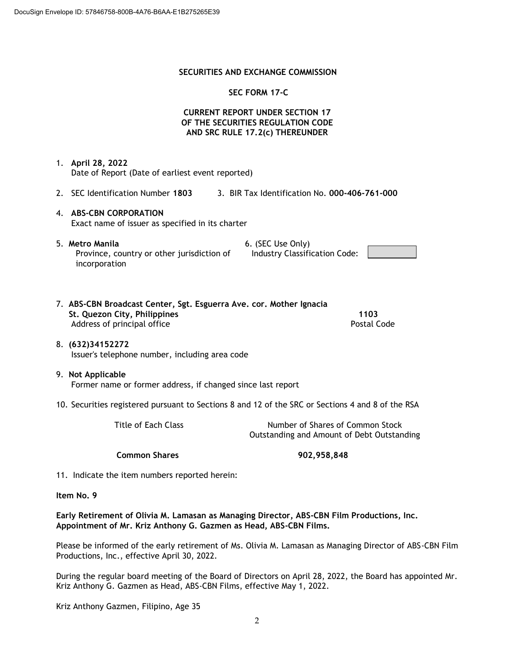#### **SECURITIES AND EXCHANGE COMMISSION**

#### **SEC FORM 17-C**

### **CURRENT REPORT UNDER SECTION 17 OF THE SECURITIES REGULATION CODE AND SRC RULE 17.2(c) THEREUNDER**

1. **April 28, 2022** Date of Report (Date of earliest event reported)

- 2. SEC Identification Number **1803** 3. BIR Tax Identification No. **000-406-761-000**
- 4. **ABS-CBN CORPORATION** Exact name of issuer as specified in its charter
- 5. **Metro Manila** 6. (SEC Use Only) Province, country or other jurisdiction of incorporation

Industry Classification Code:

| 7. ABS-CBN Broadcast Center, Sgt. Esguerra Ave. cor. Mother Ignacia |             |
|---------------------------------------------------------------------|-------------|
| St. Quezon City, Philippines                                        | 1103        |
| Address of principal office                                         | Postal Code |

- 8. **(632)34152272** Issuer's telephone number, including area code
- 9. **Not Applicable** Former name or former address, if changed since last report
- 10. Securities registered pursuant to Sections 8 and 12 of the SRC or Sections 4 and 8 of the RSA

| Title of Each Class | Number of Shares of Common Stock           |
|---------------------|--------------------------------------------|
|                     | Outstanding and Amount of Debt Outstanding |

**Common Shares 902,958,848**

11. Indicate the item numbers reported herein:

#### **Item No. 9**

**Early Retirement of Olivia M. Lamasan as Managing Director, ABS-CBN Film Productions, Inc. Appointment of Mr. Kriz Anthony G. Gazmen as Head, ABS-CBN Films.**

Please be informed of the early retirement of Ms. Olivia M. Lamasan as Managing Director of ABS-CBN Film Productions, Inc., effective April 30, 2022.

During the regular board meeting of the Board of Directors on April 28, 2022, the Board has appointed Mr. Kriz Anthony G. Gazmen as Head, ABS-CBN Films, effective May 1, 2022.

Kriz Anthony Gazmen, Filipino, Age 35